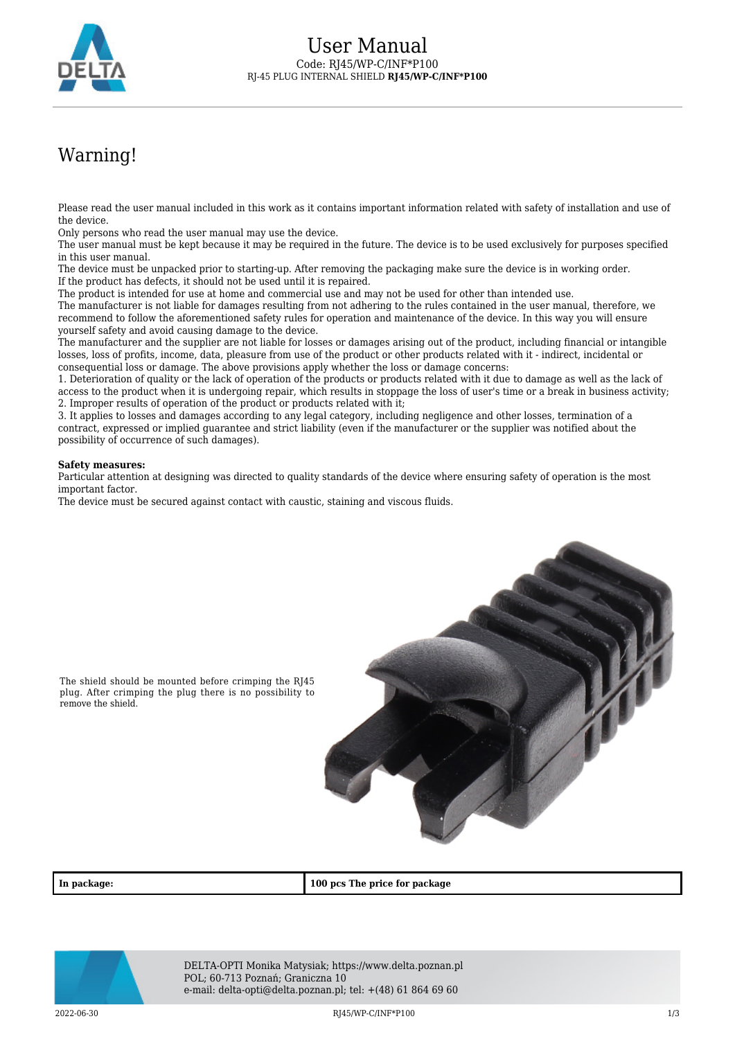

## Warning!

Please read the user manual included in this work as it contains important information related with safety of installation and use of the device.

Only persons who read the user manual may use the device.

The user manual must be kept because it may be required in the future. The device is to be used exclusively for purposes specified in this user manual.

The device must be unpacked prior to starting-up. After removing the packaging make sure the device is in working order. If the product has defects, it should not be used until it is repaired.

The product is intended for use at home and commercial use and may not be used for other than intended use.

The manufacturer is not liable for damages resulting from not adhering to the rules contained in the user manual, therefore, we recommend to follow the aforementioned safety rules for operation and maintenance of the device. In this way you will ensure yourself safety and avoid causing damage to the device.

The manufacturer and the supplier are not liable for losses or damages arising out of the product, including financial or intangible losses, loss of profits, income, data, pleasure from use of the product or other products related with it - indirect, incidental or consequential loss or damage. The above provisions apply whether the loss or damage concerns:

1. Deterioration of quality or the lack of operation of the products or products related with it due to damage as well as the lack of access to the product when it is undergoing repair, which results in stoppage the loss of user's time or a break in business activity; 2. Improper results of operation of the product or products related with it;

3. It applies to losses and damages according to any legal category, including negligence and other losses, termination of a contract, expressed or implied guarantee and strict liability (even if the manufacturer or the supplier was notified about the possibility of occurrence of such damages).

## **Safety measures:**

Particular attention at designing was directed to quality standards of the device where ensuring safety of operation is the most important factor.

The device must be secured against contact with caustic, staining and viscous fluids.



The shield should be mounted before crimping the RJ45 plug. After crimping the plug there is no possibility to remove the shield.

**In package: 100 pcs The price for package**



DELTA-OPTI Monika Matysiak; https://www.delta.poznan.pl POL; 60-713 Poznań; Graniczna 10 e-mail: delta-opti@delta.poznan.pl; tel: +(48) 61 864 69 60

2022-06-30 **RI45/WP-C/INF\*P100 RI45/WP-C/INF\*P100 1/3**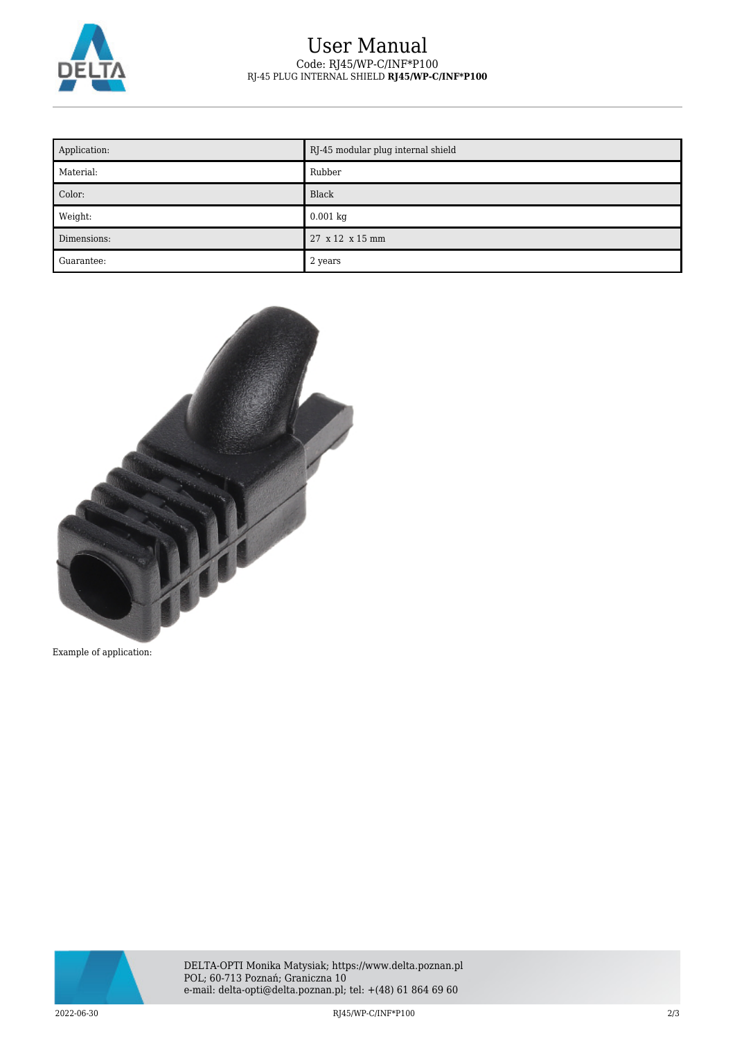

## User Manual Code: RJ45/WP-C/INF\*P100 RJ-45 PLUG INTERNAL SHIELD **RJ45/WP-C/INF\*P100**

| Application: | RJ-45 modular plug internal shield |
|--------------|------------------------------------|
| Material:    | Rubber                             |
| Color:       | Black                              |
| Weight:      | $0.001$ kg                         |
| Dimensions:  | 27 x 12 x 15 mm                    |
| Guarantee:   | 2 years                            |



Example of application:



2022-06-30 RJ45/WP-C/INF\*P100 2/3